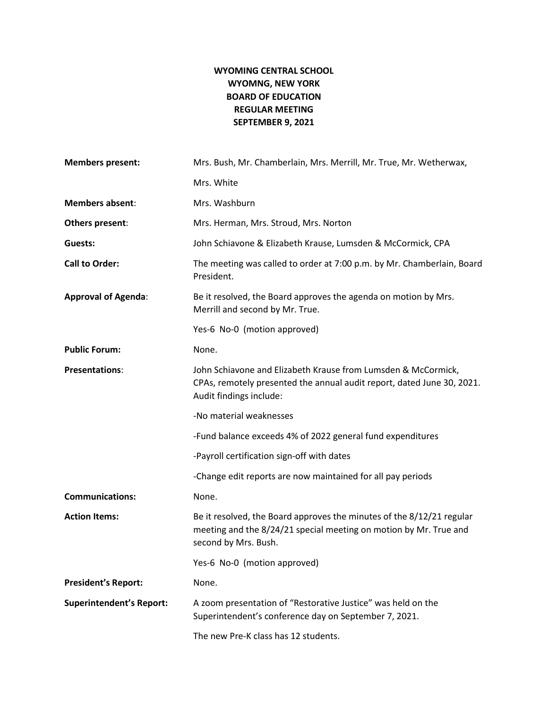## **WYOMING CENTRAL SCHOOL WYOMNG, NEW YORK BOARD OF EDUCATION REGULAR MEETING SEPTEMBER 9, 2021**

| <b>Members present:</b>         | Mrs. Bush, Mr. Chamberlain, Mrs. Merrill, Mr. True, Mr. Wetherwax,                                                                                                 |
|---------------------------------|--------------------------------------------------------------------------------------------------------------------------------------------------------------------|
|                                 | Mrs. White                                                                                                                                                         |
| <b>Members absent:</b>          | Mrs. Washburn                                                                                                                                                      |
| Others present:                 | Mrs. Herman, Mrs. Stroud, Mrs. Norton                                                                                                                              |
| Guests:                         | John Schiavone & Elizabeth Krause, Lumsden & McCormick, CPA                                                                                                        |
| <b>Call to Order:</b>           | The meeting was called to order at 7:00 p.m. by Mr. Chamberlain, Board<br>President.                                                                               |
| <b>Approval of Agenda:</b>      | Be it resolved, the Board approves the agenda on motion by Mrs.<br>Merrill and second by Mr. True.                                                                 |
|                                 | Yes-6 No-0 (motion approved)                                                                                                                                       |
| <b>Public Forum:</b>            | None.                                                                                                                                                              |
| <b>Presentations:</b>           | John Schiavone and Elizabeth Krause from Lumsden & McCormick,<br>CPAs, remotely presented the annual audit report, dated June 30, 2021.<br>Audit findings include: |
|                                 | -No material weaknesses                                                                                                                                            |
|                                 | -Fund balance exceeds 4% of 2022 general fund expenditures                                                                                                         |
|                                 | -Payroll certification sign-off with dates                                                                                                                         |
|                                 | -Change edit reports are now maintained for all pay periods                                                                                                        |
| <b>Communications:</b>          | None.                                                                                                                                                              |
| <b>Action Items:</b>            | Be it resolved, the Board approves the minutes of the 8/12/21 regular<br>meeting and the 8/24/21 special meeting on motion by Mr. True and<br>second by Mrs. Bush. |
|                                 | Yes-6 No-0 (motion approved)                                                                                                                                       |
| <b>President's Report:</b>      | None.                                                                                                                                                              |
| <b>Superintendent's Report:</b> | A zoom presentation of "Restorative Justice" was held on the<br>Superintendent's conference day on September 7, 2021.                                              |
|                                 | The new Pre-K class has 12 students.                                                                                                                               |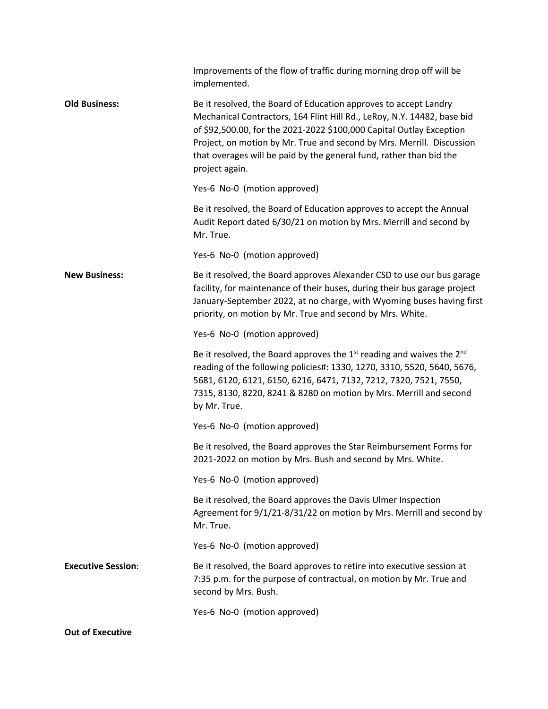|                           | Improvements of the flow of traffic during morning drop off will be<br>implemented.                                                                                                                                                                                                                                                                                                   |
|---------------------------|---------------------------------------------------------------------------------------------------------------------------------------------------------------------------------------------------------------------------------------------------------------------------------------------------------------------------------------------------------------------------------------|
| <b>Old Business:</b>      | Be it resolved, the Board of Education approves to accept Landry<br>Mechanical Contractors, 164 Flint Hill Rd., LeRoy, N.Y. 14482, base bid<br>of \$92,500.00, for the 2021-2022 \$100,000 Capital Outlay Exception<br>Project, on motion by Mr. True and second by Mrs. Merrill. Discussion<br>that overages will be paid by the general fund, rather than bid the<br>project again. |
|                           | Yes-6 No-0 (motion approved)                                                                                                                                                                                                                                                                                                                                                          |
|                           | Be it resolved, the Board of Education approves to accept the Annual<br>Audit Report dated 6/30/21 on motion by Mrs. Merrill and second by<br>Mr. True.                                                                                                                                                                                                                               |
|                           | Yes-6 No-0 (motion approved)                                                                                                                                                                                                                                                                                                                                                          |
| <b>New Business:</b>      | Be it resolved, the Board approves Alexander CSD to use our bus garage<br>facility, for maintenance of their buses, during their bus garage project<br>January-September 2022, at no charge, with Wyoming buses having first<br>priority, on motion by Mr. True and second by Mrs. White.                                                                                             |
|                           | Yes-6 No-0 (motion approved)                                                                                                                                                                                                                                                                                                                                                          |
|                           | Be it resolved, the Board approves the $1st$ reading and waives the $2nd$<br>reading of the following policies#: 1330, 1270, 3310, 5520, 5640, 5676,<br>5681, 6120, 6121, 6150, 6216, 6471, 7132, 7212, 7320, 7521, 7550,<br>7315, 8130, 8220, 8241 & 8280 on motion by Mrs. Merrill and second<br>by Mr. True.                                                                       |
|                           | Yes-6 No-0 (motion approved)                                                                                                                                                                                                                                                                                                                                                          |
|                           | Be it resolved, the Board approves the Star Reimbursement Forms for<br>2021-2022 on motion by Mrs. Bush and second by Mrs. White.                                                                                                                                                                                                                                                     |
|                           | Yes-6 No-0 (motion approved)                                                                                                                                                                                                                                                                                                                                                          |
|                           | Be it resolved, the Board approves the Davis Ulmer Inspection<br>Agreement for 9/1/21-8/31/22 on motion by Mrs. Merrill and second by<br>Mr. True.                                                                                                                                                                                                                                    |
|                           | Yes-6 No-0 (motion approved)                                                                                                                                                                                                                                                                                                                                                          |
| <b>Executive Session:</b> | Be it resolved, the Board approves to retire into executive session at<br>7:35 p.m. for the purpose of contractual, on motion by Mr. True and<br>second by Mrs. Bush.                                                                                                                                                                                                                 |
|                           | Yes-6 No-0 (motion approved)                                                                                                                                                                                                                                                                                                                                                          |
| <b>Out of Executive</b>   |                                                                                                                                                                                                                                                                                                                                                                                       |